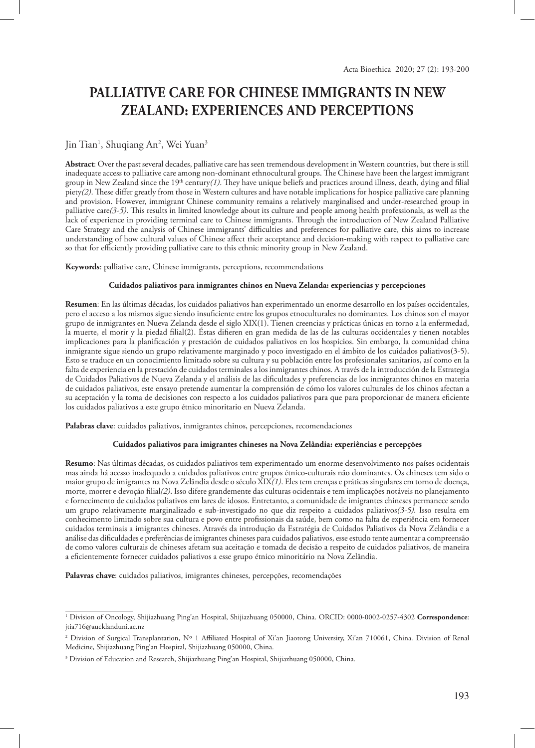# **PALLIATIVE CARE FOR CHINESE IMMIGRANTS IN NEW ZEALAND: EXPERIENCES AND PERCEPTIONS**

# Jin Tian<sup>1</sup>, Shuqiang An<sup>2</sup>, Wei Yuan<sup>3</sup>

**Abstract**: Over the past several decades, palliative care has seen tremendous development in Western countries, but there is still inadequate access to palliative care among non-dominant ethnocultural groups. The Chinese have been the largest immigrant group in New Zealand since the 19th century*(1)*. They have unique beliefs and practices around illness, death, dying and filial piety*(2)*. These differ greatly from those in Western cultures and have notable implications for hospice palliative care planning and provision. However, immigrant Chinese community remains a relatively marginalised and under-researched group in palliative care*(3-5)*. This results in limited knowledge about its culture and people among health professionals, as well as the lack of experience in providing terminal care to Chinese immigrants. Through the introduction of New Zealand Palliative Care Strategy and the analysis of Chinese immigrants' difficulties and preferences for palliative care, this aims to increase understanding of how cultural values of Chinese affect their acceptance and decision-making with respect to palliative care so that for efficiently providing palliative care to this ethnic minority group in New Zealand.

**Keywords**: palliative care, Chinese immigrants, perceptions, recommendations

#### **Cuidados paliativos para inmigrantes chinos en Nueva Zelanda: experiencias y percepciones**

**Resumen**: En las últimas décadas, los cuidados paliativos han experimentado un enorme desarrollo en los países occidentales, pero el acceso a los mismos sigue siendo insuficiente entre los grupos etnoculturales no dominantes. Los chinos son el mayor grupo de inmigrantes en Nueva Zelanda desde el siglo XIX(1). Tienen creencias y prácticas únicas en torno a la enfermedad, la muerte, el morir y la piedad filial(2). Éstas difieren en gran medida de las de las culturas occidentales y tienen notables implicaciones para la planificación y prestación de cuidados paliativos en los hospicios. Sin embargo, la comunidad china inmigrante sigue siendo un grupo relativamente marginado y poco investigado en el ámbito de los cuidados paliativos(3-5). Esto se traduce en un conocimiento limitado sobre su cultura y su población entre los profesionales sanitarios, así como en la falta de experiencia en la prestación de cuidados terminales a los inmigrantes chinos. A través de la introducción de la Estrategia de Cuidados Paliativos de Nueva Zelanda y el análisis de las dificultades y preferencias de los inmigrantes chinos en materia de cuidados paliativos, este ensayo pretende aumentar la comprensión de cómo los valores culturales de los chinos afectan a su aceptación y la toma de decisiones con respecto a los cuidados paliativos para que para proporcionar de manera eficiente los cuidados paliativos a este grupo étnico minoritario en Nueva Zelanda.

**Palabras clave**: cuidados paliativos, inmigrantes chinos, percepciones, recomendaciones

#### **Cuidados paliativos para imigrantes chineses na Nova Zelândia: experiências e percepções**

**Resumo**: Nas últimas décadas, os cuidados paliativos tem experimentado um enorme desenvolvimento nos países ocidentais mas ainda há acesso inadequado a cuidados paliativos entre grupos étnico-culturais não dominantes. Os chineses tem sido o maior grupo de imigrantes na Nova Zelândia desde o século XIX*(1)*. Eles tem crenças e práticas singulares em torno de doença, morte, morrer e devoção filial*(2)*. Isso difere grandemente das culturas ocidentais e tem implicações notáveis no planejamento e fornecimento de cuidados paliativos em lares de idosos. Entretanto, a comunidade de imigrantes chineses permanece sendo um grupo relativamente marginalizado e sub-investigado no que diz respeito a cuidados paliativos*(3-5)*. Isso resulta em conhecimento limitado sobre sua cultura e povo entre profissionais da saúde, bem como na falta de experiência em fornecer cuidados terminais a imigrantes chineses. Através da introdução da Estratégia de Cuidados Paliativos da Nova Zelândia e a análise das dificuldades e preferências de imigrantes chineses para cuidados paliativos, esse estudo tente aumentar a compreensão de como valores culturais de chineses afetam sua aceitação e tomada de decisão a respeito de cuidados paliativos, de maneira a eficientemente fornecer cuidados paliativos a esse grupo étnico minoritário na Nova Zelândia.

**Palavras chave**: cuidados paliativos, imigrantes chineses, percepções, recomendações

<sup>1</sup> Division of Oncology, Shijiazhuang Ping'an Hospital, Shijiazhuang 050000, China. ORCID: 0000-0002-0257-4302 **Correspondence**: jtia716@aucklanduni.ac.nz

<sup>2</sup> Division of Surgical Transplantation, Nº 1 Affiliated Hospital of Xi'an Jiaotong University, Xi'an 710061, China. Division of Renal Medicine, Shijiazhuang Ping'an Hospital, Shijiazhuang 050000, China.

 $^3$  Division of Education and Research, Shijiazhuang Ping'an Hospital, Shijiazhuang 050000, China.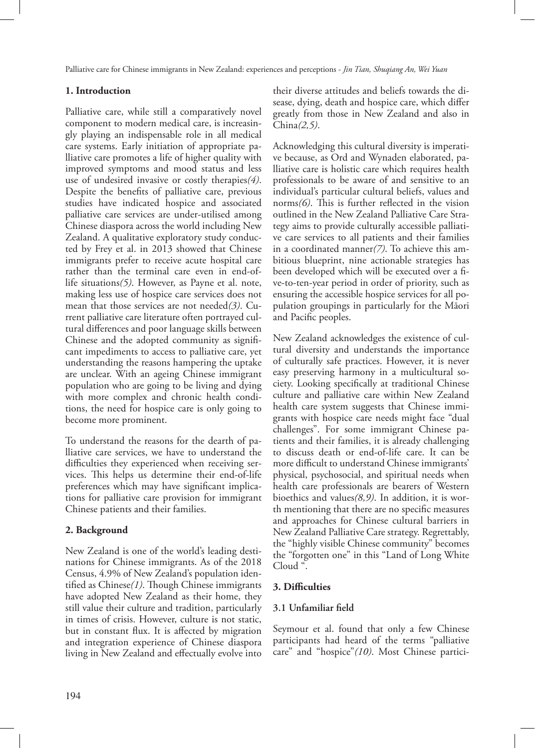# **1. Introduction**

Palliative care, while still a comparatively novel component to modern medical care, is increasingly playing an indispensable role in all medical care systems. Early initiation of appropriate palliative care promotes a life of higher quality with improved symptoms and mood status and less use of undesired invasive or costly therapies*(4)*. Despite the benefits of palliative care, previous studies have indicated hospice and associated palliative care services are under-utilised among Chinese diaspora across the world including New Zealand. A qualitative exploratory study conducted by Frey et al. in 2013 showed that Chinese immigrants prefer to receive acute hospital care rather than the terminal care even in end-oflife situations*(5)*. However, as Payne et al. note, making less use of hospice care services does not mean that those services are not needed*(3)*. Current palliative care literature often portrayed cultural differences and poor language skills between Chinese and the adopted community as significant impediments to access to palliative care, yet understanding the reasons hampering the uptake are unclear. With an ageing Chinese immigrant population who are going to be living and dying with more complex and chronic health conditions, the need for hospice care is only going to become more prominent.

To understand the reasons for the dearth of palliative care services, we have to understand the difficulties they experienced when receiving services. This helps us determine their end-of-life preferences which may have significant implications for palliative care provision for immigrant Chinese patients and their families.

### **2. Background**

New Zealand is one of the world's leading destinations for Chinese immigrants. As of the 2018 Census, 4.9% of New Zealand's population identified as Chinese*(1)*. Though Chinese immigrants have adopted New Zealand as their home, they still value their culture and tradition, particularly in times of crisis. However, culture is not static, but in constant flux. It is affected by migration and integration experience of Chinese diaspora living in New Zealand and effectually evolve into their diverse attitudes and beliefs towards the disease, dying, death and hospice care, which differ greatly from those in New Zealand and also in China*(2,5)*.

Acknowledging this cultural diversity is imperative because, as Ord and Wynaden elaborated, palliative care is holistic care which requires health professionals to be aware of and sensitive to an individual's particular cultural beliefs, values and norms*(6)*. This is further reflected in the vision outlined in the New Zealand Palliative Care Strategy aims to provide culturally accessible palliative care services to all patients and their families in a coordinated manner*(7)*. To achieve this ambitious blueprint, nine actionable strategies has been developed which will be executed over a five-to-ten-year period in order of priority, such as ensuring the accessible hospice services for all population groupings in particularly for the Māori and Pacific peoples.

New Zealand acknowledges the existence of cultural diversity and understands the importance of culturally safe practices. However, it is never easy preserving harmony in a multicultural society. Looking specifically at traditional Chinese culture and palliative care within New Zealand health care system suggests that Chinese immigrants with hospice care needs might face "dual challenges". For some immigrant Chinese patients and their families, it is already challenging to discuss death or end-of-life care. It can be more difficult to understand Chinese immigrants' physical, psychosocial, and spiritual needs when health care professionals are bearers of Western bioethics and values*(8,9)*. In addition, it is worth mentioning that there are no specific measures and approaches for Chinese cultural barriers in New Zealand Palliative Care strategy. Regrettably, the "highly visible Chinese community" becomes the "forgotten one" in this "Land of Long White Cloud ".

### **3. Difficulties**

### **3.1 Unfamiliar field**

Seymour et al. found that only a few Chinese participants had heard of the terms "palliative care" and "hospice"*(10)*. Most Chinese partici-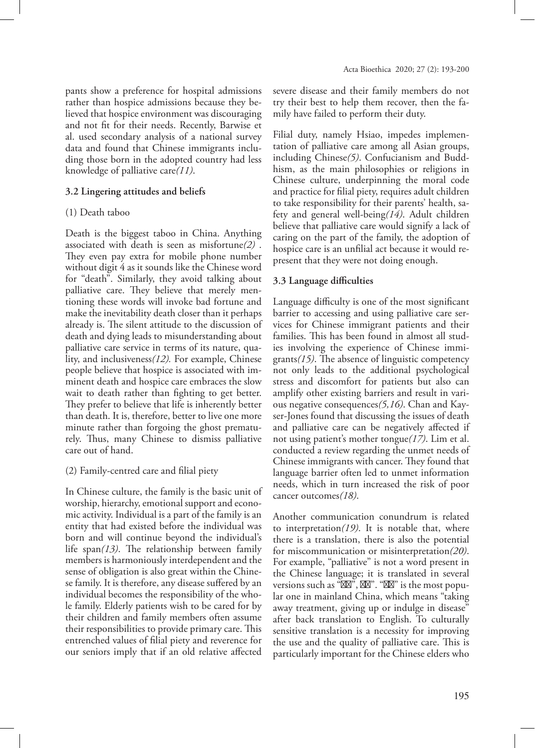pants show a preference for hospital admissions rather than hospice admissions because they believed that hospice environment was discouraging and not fit for their needs. Recently, Barwise et al. used secondary analysis of a national survey data and found that Chinese immigrants including those born in the adopted country had less knowledge of palliative care*(11)*.

#### **3.2 Lingering attitudes and beliefs**

#### (1) Death taboo

Death is the biggest taboo in China. Anything associated with death is seen as misfortune*(2)* . They even pay extra for mobile phone number without digit 4 as it sounds like the Chinese word for "death". Similarly, they avoid talking about palliative care. They believe that merely mentioning these words will invoke bad fortune and make the inevitability death closer than it perhaps already is. The silent attitude to the discussion of death and dying leads to misunderstanding about palliative care service in terms of its nature, quality, and inclusiveness*(12).* For example, Chinese people believe that hospice is associated with imminent death and hospice care embraces the slow wait to death rather than fighting to get better. They prefer to believe that life is inherently better than death. It is, therefore, better to live one more minute rather than forgoing the ghost prematurely. Thus, many Chinese to dismiss palliative care out of hand.

#### (2) Family-centred care and filial piety

In Chinese culture, the family is the basic unit of worship, hierarchy, emotional support and economic activity. Individual is a part of the family is an entity that had existed before the individual was born and will continue beyond the individual's life span*(13)*. The relationship between family members is harmoniously interdependent and the sense of obligation is also great within the Chinese family. It is therefore, any disease suffered by an individual becomes the responsibility of the whole family. Elderly patients wish to be cared for by their children and family members often assume their responsibilities to provide primary care. This entrenched values of filial piety and reverence for our seniors imply that if an old relative affected

severe disease and their family members do not try their best to help them recover, then the family have failed to perform their duty.

Filial duty, namely Hsiao, impedes implementation of palliative care among all Asian groups, including Chinese*(5)*. Confucianism and Buddhism, as the main philosophies or religions in Chinese culture, underpinning the moral code and practice for filial piety, requires adult children to take responsibility for their parents' health, safety and general well-being*(14)*. Adult children believe that palliative care would signify a lack of caring on the part of the family, the adoption of hospice care is an unfilial act because it would represent that they were not doing enough.

#### **3.3 Language difficulties**

Language difficulty is one of the most significant barrier to accessing and using palliative care services for Chinese immigrant patients and their families. This has been found in almost all studies involving the experience of Chinese immigrants*(15)*. The absence of linguistic competency not only leads to the additional psychological stress and discomfort for patients but also can amplify other existing barriers and result in various negative consequences*(5,16)*. Chan and Kayser-Jones found that discussing the issues of death and palliative care can be negatively affected if not using patient's mother tongue*(17)*. Lim et al. conducted a review regarding the unmet needs of Chinese immigrants with cancer. They found that language barrier often led to unmet information needs, which in turn increased the risk of poor cancer outcomes*(18)*.

Another communication conundrum is related to interpretation*(19)*. It is notable that, where there is a translation, there is also the potential for miscommunication or misinterpretation*(20)*. For example, "palliative" is not a word present in the Chinese language; it is translated in several versions such as  $\frac{a}{x}$ ,  $\frac{b}{y}$ ,  $\frac{a}{y}$  is the most popular one in mainland China, which means "taking away treatment, giving up or indulge in disease" after back translation to English. To culturally sensitive translation is a necessity for improving the use and the quality of palliative care. This is particularly important for the Chinese elders who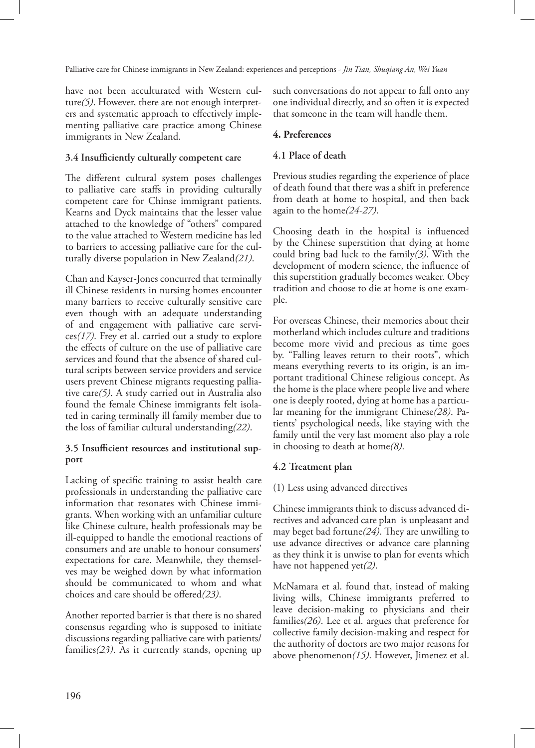have not been acculturated with Western culture*(5)*. However, there are not enough interpreters and systematic approach to effectively implementing palliative care practice among Chinese immigrants in New Zealand.

#### **3.4 Insufficiently culturally competent care**

The different cultural system poses challenges to palliative care staffs in providing culturally competent care for Chinse immigrant patients. Kearns and Dyck maintains that the lesser value attached to the knowledge of "others" compared to the value attached to Western medicine has led to barriers to accessing palliative care for the culturally diverse population in New Zealand*(21)*.

Chan and Kayser-Jones concurred that terminally ill Chinese residents in nursing homes encounter many barriers to receive culturally sensitive care even though with an adequate understanding of and engagement with palliative care services*(17)*. Frey et al. carried out a study to explore the effects of culture on the use of palliative care services and found that the absence of shared cultural scripts between service providers and service users prevent Chinese migrants requesting palliative care*(5)*. A study carried out in Australia also found the female Chinese immigrants felt isolated in caring terminally ill family member due to the loss of familiar cultural understanding*(22)*.

# **3.5 Insufficient resources and institutional support**

Lacking of specific training to assist health care professionals in understanding the palliative care information that resonates with Chinese immigrants. When working with an unfamiliar culture like Chinese culture, health professionals may be ill-equipped to handle the emotional reactions of consumers and are unable to honour consumers' expectations for care. Meanwhile, they themselves may be weighed down by what information should be communicated to whom and what choices and care should be offered*(23)*.

Another reported barrier is that there is no shared consensus regarding who is supposed to initiate discussions regarding palliative care with patients/ families*(23)*. As it currently stands, opening up such conversations do not appear to fall onto any one individual directly, and so often it is expected that someone in the team will handle them.

#### **4. Preferences**

#### **4.1 Place of death**

Previous studies regarding the experience of place of death found that there was a shift in preference from death at home to hospital, and then back again to the home*(24-27)*.

Choosing death in the hospital is influenced by the Chinese superstition that dying at home could bring bad luck to the family*(3)*. With the development of modern science, the influence of this superstition gradually becomes weaker. Obey tradition and choose to die at home is one example.

For overseas Chinese, their memories about their motherland which includes culture and traditions become more vivid and precious as time goes by. "Falling leaves return to their roots", which means everything reverts to its origin, is an important traditional Chinese religious concept. As the home is the place where people live and where one is deeply rooted, dying at home has a particular meaning for the immigrant Chinese*(28)*. Patients' psychological needs, like staying with the family until the very last moment also play a role in choosing to death at home*(8)*.

### **4.2 Treatment plan**

#### (1) Less using advanced directives

Chinese immigrants think to discuss advanced directives and advanced care plan is unpleasant and may beget bad fortune*(24)*. They are unwilling to use advance directives or advance care planning as they think it is unwise to plan for events which have not happened yet*(2)*.

McNamara et al. found that, instead of making living wills, Chinese immigrants preferred to leave decision-making to physicians and their families*(26)*. Lee et al. argues that preference for collective family decision-making and respect for the authority of doctors are two major reasons for above phenomenon*(15)*. However, Jimenez et al.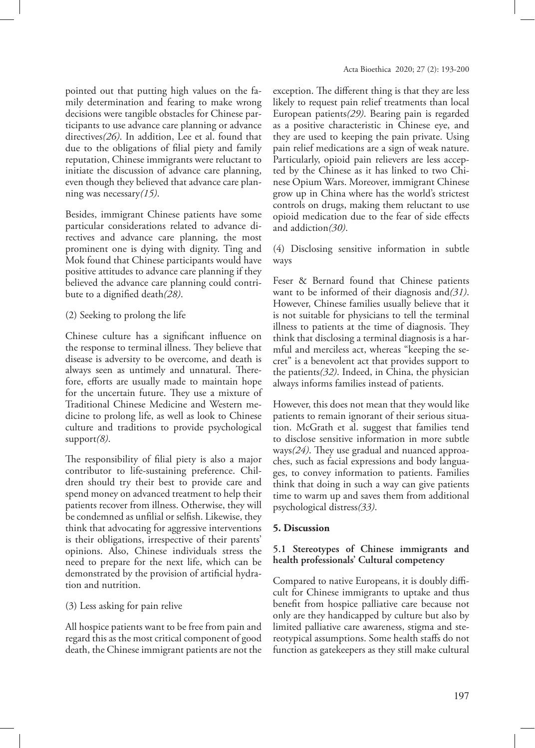pointed out that putting high values on the family determination and fearing to make wrong decisions were tangible obstacles for Chinese participants to use advance care planning or advance directives*(26)*. In addition, Lee et al. found that due to the obligations of filial piety and family reputation, Chinese immigrants were reluctant to initiate the discussion of advance care planning, even though they believed that advance care planning was necessary*(15)*.

Besides, immigrant Chinese patients have some particular considerations related to advance directives and advance care planning, the most prominent one is dying with dignity. Ting and Mok found that Chinese participants would have positive attitudes to advance care planning if they believed the advance care planning could contribute to a dignified death*(28)*.

# (2) Seeking to prolong the life

Chinese culture has a significant influence on the response to terminal illness. They believe that disease is adversity to be overcome, and death is always seen as untimely and unnatural. Therefore, efforts are usually made to maintain hope for the uncertain future. They use a mixture of Traditional Chinese Medicine and Western medicine to prolong life, as well as look to Chinese culture and traditions to provide psychological support*(8)*.

The responsibility of filial piety is also a major contributor to life-sustaining preference. Children should try their best to provide care and spend money on advanced treatment to help their patients recover from illness. Otherwise, they will be condemned as unfilial or selfish. Likewise, they think that advocating for aggressive interventions is their obligations, irrespective of their parents' opinions. Also, Chinese individuals stress the need to prepare for the next life, which can be demonstrated by the provision of artificial hydration and nutrition.

# (3) Less asking for pain relive

All hospice patients want to be free from pain and regard this as the most critical component of good death, the Chinese immigrant patients are not the exception. The different thing is that they are less likely to request pain relief treatments than local European patients*(29)*. Bearing pain is regarded as a positive characteristic in Chinese eye, and they are used to keeping the pain private. Using pain relief medications are a sign of weak nature. Particularly, opioid pain relievers are less accepted by the Chinese as it has linked to two Chinese Opium Wars. Moreover, immigrant Chinese grow up in China where has the world's strictest controls on drugs, making them reluctant to use opioid medication due to the fear of side effects and addiction*(30)*.

(4) Disclosing sensitive information in subtle ways

Feser & Bernard found that Chinese patients want to be informed of their diagnosis and*(31)*. However, Chinese families usually believe that it is not suitable for physicians to tell the terminal illness to patients at the time of diagnosis. They think that disclosing a terminal diagnosis is a harmful and merciless act, whereas "keeping the secret" is a benevolent act that provides support to the patients*(32)*. Indeed, in China, the physician always informs families instead of patients.

However, this does not mean that they would like patients to remain ignorant of their serious situation. McGrath et al. suggest that families tend to disclose sensitive information in more subtle ways*(24)*. They use gradual and nuanced approaches, such as facial expressions and body languages, to convey information to patients. Families think that doing in such a way can give patients time to warm up and saves them from additional psychological distress*(33)*.

### **5. Discussion**

# **5.1 Stereotypes of Chinese immigrants and health professionals' Cultural competency**

Compared to native Europeans, it is doubly difficult for Chinese immigrants to uptake and thus benefit from hospice palliative care because not only are they handicapped by culture but also by limited palliative care awareness, stigma and stereotypical assumptions. Some health staffs do not function as gatekeepers as they still make cultural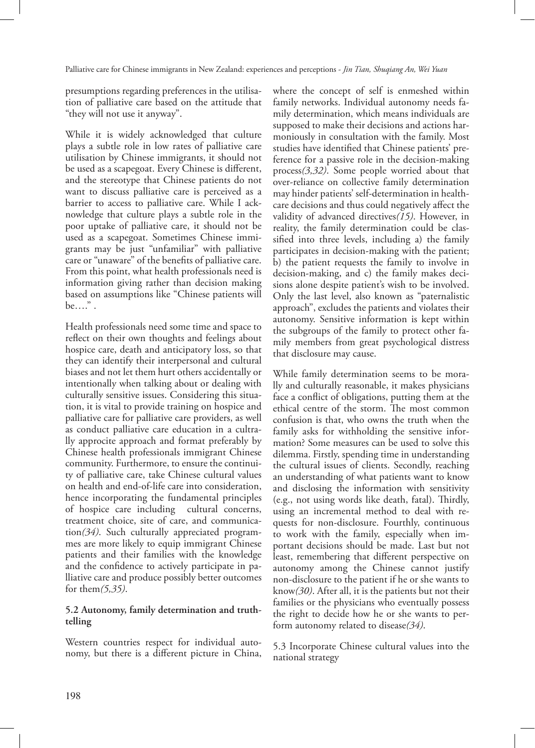presumptions regarding preferences in the utilisation of palliative care based on the attitude that "they will not use it anyway".

While it is widely acknowledged that culture plays a subtle role in low rates of palliative care utilisation by Chinese immigrants, it should not be used as a scapegoat. Every Chinese is different, and the stereotype that Chinese patients do not want to discuss palliative care is perceived as a barrier to access to palliative care. While I acknowledge that culture plays a subtle role in the poor uptake of palliative care, it should not be used as a scapegoat. Sometimes Chinese immigrants may be just "unfamiliar" with palliative care or "unaware" of the benefits of palliative care. From this point, what health professionals need is information giving rather than decision making based on assumptions like "Chinese patients will be…." .

Health professionals need some time and space to reflect on their own thoughts and feelings about hospice care, death and anticipatory loss, so that they can identify their interpersonal and cultural biases and not let them hurt others accidentally or intentionally when talking about or dealing with culturally sensitive issues. Considering this situation, it is vital to provide training on hospice and palliative care for palliative care providers, as well as conduct palliative care education in a cultrally approcite approach and format preferably by Chinese health professionals immigrant Chinese community. Furthermore, to ensure the continuity of palliative care, take Chinese cultural values on health and end-of-life care into consideration, hence incorporating the fundamental principles of hospice care including cultural concerns, treatment choice, site of care, and communication*(34)*. Such culturally appreciated programmes are more likely to equip immigrant Chinese patients and their families with the knowledge and the confidence to actively participate in palliative care and produce possibly better outcomes for them*(5,35)*.

# **5.2 Autonomy, family determination and truthtelling**

Western countries respect for individual autonomy, but there is a different picture in China, where the concept of self is enmeshed within family networks. Individual autonomy needs family determination, which means individuals are supposed to make their decisions and actions harmoniously in consultation with the family. Most studies have identified that Chinese patients' preference for a passive role in the decision-making process*(3,32)*. Some people worried about that over-reliance on collective family determination may hinder patients' self-determination in healthcare decisions and thus could negatively affect the validity of advanced directives*(15)*. However, in reality, the family determination could be classified into three levels, including a) the family participates in decision-making with the patient; b) the patient requests the family to involve in decision-making, and c) the family makes decisions alone despite patient's wish to be involved. Only the last level, also known as "paternalistic approach", excludes the patients and violates their autonomy. Sensitive information is kept within the subgroups of the family to protect other family members from great psychological distress that disclosure may cause.

While family determination seems to be morally and culturally reasonable, it makes physicians face a conflict of obligations, putting them at the ethical centre of the storm. The most common confusion is that, who owns the truth when the family asks for withholding the sensitive information? Some measures can be used to solve this dilemma. Firstly, spending time in understanding the cultural issues of clients. Secondly, reaching an understanding of what patients want to know and disclosing the information with sensitivity (e.g., not using words like death, fatal). Thirdly, using an incremental method to deal with requests for non-disclosure. Fourthly, continuous to work with the family, especially when important decisions should be made. Last but not least, remembering that different perspective on autonomy among the Chinese cannot justify non-disclosure to the patient if he or she wants to know*(30)*. After all, it is the patients but not their families or the physicians who eventually possess the right to decide how he or she wants to perform autonomy related to disease*(34)*.

5.3 Incorporate Chinese cultural values into the national strategy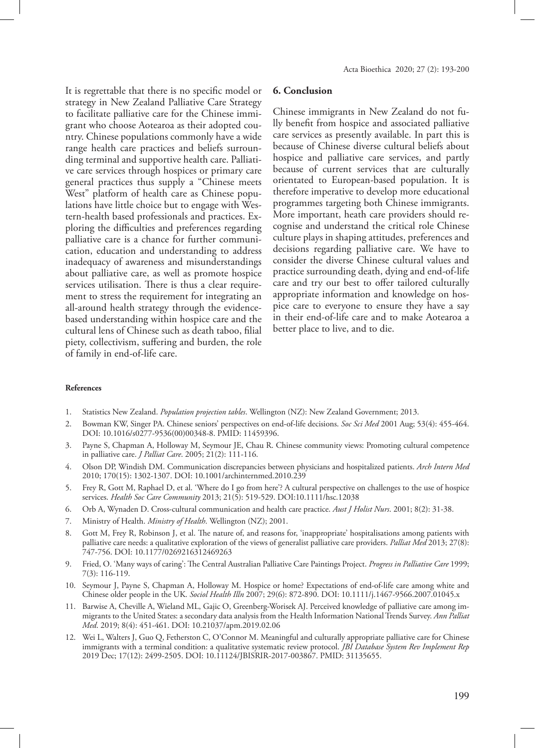It is regrettable that there is no specific model or strategy in New Zealand Palliative Care Strategy to facilitate palliative care for the Chinese immigrant who choose Aotearoa as their adopted country. Chinese populations commonly have a wide range health care practices and beliefs surrounding terminal and supportive health care. Palliative care services through hospices or primary care general practices thus supply a "Chinese meets West" platform of health care as Chinese populations have little choice but to engage with Western-health based professionals and practices. Exploring the difficulties and preferences regarding palliative care is a chance for further communication, education and understanding to address inadequacy of awareness and misunderstandings about palliative care, as well as promote hospice services utilisation. There is thus a clear requirement to stress the requirement for integrating an all-around health strategy through the evidencebased understanding within hospice care and the cultural lens of Chinese such as death taboo, filial piety, collectivism, suffering and burden, the role of family in end-of-life care.

#### **6. Conclusion**

Chinese immigrants in New Zealand do not fully benefit from hospice and associated palliative care services as presently available. In part this is because of Chinese diverse cultural beliefs about hospice and palliative care services, and partly because of current services that are culturally orientated to European-based population. It is therefore imperative to develop more educational programmes targeting both Chinese immigrants. More important, heath care providers should recognise and understand the critical role Chinese culture plays in shaping attitudes, preferences and decisions regarding palliative care. We have to consider the diverse Chinese cultural values and practice surrounding death, dying and end-of-life care and try our best to offer tailored culturally appropriate information and knowledge on hospice care to everyone to ensure they have a say in their end-of-life care and to make Aotearoa a better place to live, and to die.

#### **References**

- 1. Statistics New Zealand. *Population projection tables*. Wellington (NZ): New Zealand Government; 2013.
- 2. Bowman KW, Singer PA. Chinese seniors' perspectives on end-of-life decisions. *Soc Sci Med* 2001 Aug; 53(4): 455-464. DOI: 10.1016/s0277-9536(00)00348-8. PMID: 11459396.
- 3. Payne S, Chapman A, Holloway M, Seymour JE, Chau R. Chinese community views: Promoting cultural competence in palliative care. *J Palliat Care*. 2005; 21(2): 111-116.
- 4. Olson DP, Windish DM. Communication discrepancies between physicians and hospitalized patients. *Arch Intern Med* 2010; 170(15): 1302-1307. DOI: 10.1001/archinternmed.2010.239
- 5. Frey R, Gott M, Raphael D, et al. 'Where do I go from here'? A cultural perspective on challenges to the use of hospice services. *Health Soc Care Community* 2013; 21(5): 519-529. DOI:10.1111/hsc.12038
- 6. Orb A, Wynaden D. Cross-cultural communication and health care practice. *Aust J Holist Nurs*. 2001; 8(2): 31-38.
- 7. Ministry of Health. *Ministry of Health*. Wellington (NZ); 2001.
- Gott M, Frey R, Robinson J, et al. The nature of, and reasons for, 'inappropriate' hospitalisations among patients with palliative care needs: a qualitative exploration of the views of generalist palliative care providers. *Palliat Med* 2013; 27(8): 747-756. DOI: 10.1177/0269216312469263
- 9. Fried, O. 'Many ways of caring': The Central Australian Palliative Care Paintings Project. *Progress in Palliative Care* 1999; 7(3): 116-119.
- 10. Seymour J, Payne S, Chapman A, Holloway M. Hospice or home? Expectations of end-of-life care among white and Chinese older people in the UK. *Sociol Health Illn* 2007; 29(6): 872-890. DOI: 10.1111/j.1467-9566.2007.01045.x
- 11. Barwise A, Cheville A, Wieland ML, Gajic O, Greenberg-Worisek AJ. Perceived knowledge of palliative care among immigrants to the United States: a secondary data analysis from the Health Information National Trends Survey. *Ann Palliat Med*. 2019; 8(4): 451-461. DOI: 10.21037/apm.2019.02.06
- 12. Wei L, Walters J, Guo Q, Fetherston C, O'Connor M. Meaningful and culturally appropriate palliative care for Chinese immigrants with a terminal condition: a qualitative systematic review protocol. *JBI Database System Rev Implement Rep* 2019 Dec; 17(12): 2499-2505. DOI: 10.11124/JBISRIR-2017-003867. PMID: 31135655.